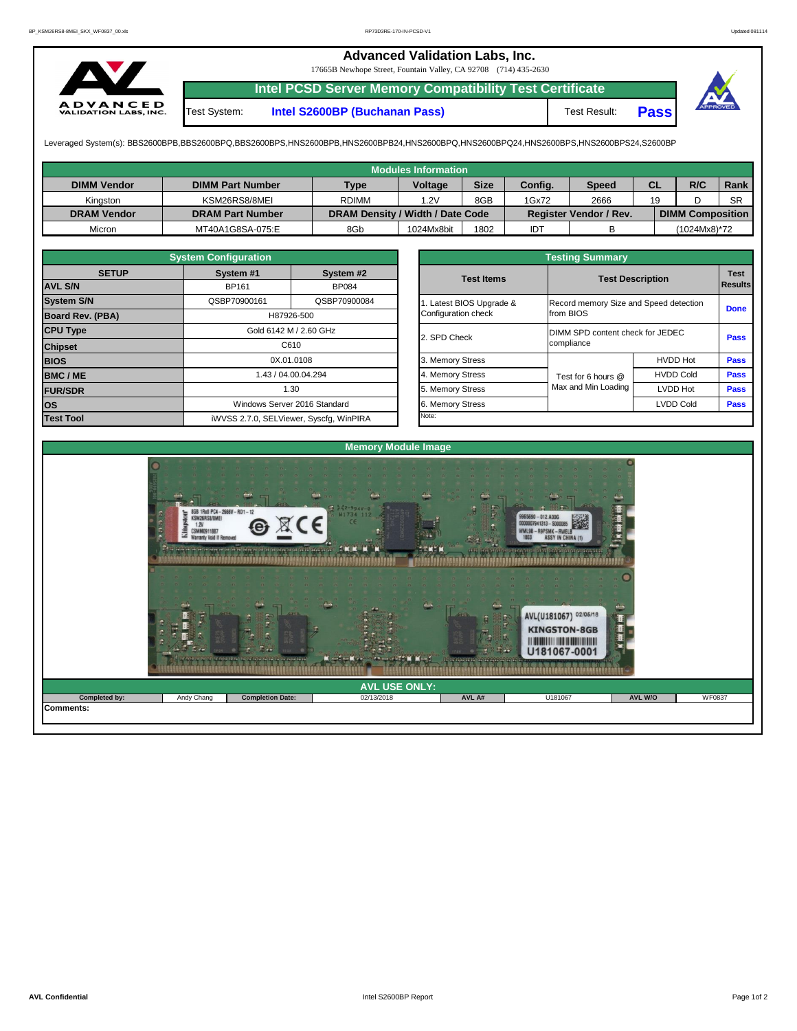## **Advanced Validation Labs, Inc.**

17665B Newhope Street, Fountain Valley, CA 92708 (714) 435-2630



**Intel PCSD Server Memory Compatibility Test Certificate**

Test System: **Intel S2600BP (Buchanan Pass)** Test Result: **Pass**



Leveraged System(s): BBS2600BPB,BBS2600BPQ,BBS2600BPS,HNS2600BPB,HNS2600BPB24,HNS2600BPQ,HNS2600BPQ24,HNS2600BPS,HNS2600BPS24,S2600BP

|              | <b>System Configuration</b> |                                         |                         | <b>Testing Summary</b>                                                                                                                                                                           |                  |             |  |  |  |  |  |  |  |
|--------------|-----------------------------|-----------------------------------------|-------------------------|--------------------------------------------------------------------------------------------------------------------------------------------------------------------------------------------------|------------------|-------------|--|--|--|--|--|--|--|
| <b>SETUP</b> | System #1<br>System #2      |                                         | <b>Test Items</b>       |                                                                                                                                                                                                  |                  |             |  |  |  |  |  |  |  |
|              | <b>BP161</b>                | <b>BP084</b>                            |                         |                                                                                                                                                                                                  | <b>Results</b>   |             |  |  |  |  |  |  |  |
|              | QSBP70900161                | QSBP70900084                            | . Latest BIOS Upgrade & |                                                                                                                                                                                                  |                  |             |  |  |  |  |  |  |  |
| PBA)         |                             | H87926-500                              | Configuration check     | from BIOS                                                                                                                                                                                        | <b>Done</b>      |             |  |  |  |  |  |  |  |
|              |                             | Gold 6142 M / 2.60 GHz                  | 2. SPD Check            |                                                                                                                                                                                                  |                  |             |  |  |  |  |  |  |  |
|              |                             | C610                                    |                         | <b>Test Description</b><br>Record memory Size and Speed detection<br>DIMM SPD content check for JEDEC<br>compliance<br>Test for 6 hours @<br>Max and Min Loading<br>LVDD Hot<br><b>LVDD Cold</b> |                  | <b>Pass</b> |  |  |  |  |  |  |  |
|              |                             | 0X.01.0108                              | 3. Memory Stress        |                                                                                                                                                                                                  | <b>HVDD Hot</b>  |             |  |  |  |  |  |  |  |
|              |                             | 1.43 / 04.00.04.294                     | 4. Memory Stress        |                                                                                                                                                                                                  | <b>HVDD Cold</b> | <b>Pass</b> |  |  |  |  |  |  |  |
|              |                             | 1.30                                    | 5. Memory Stress        |                                                                                                                                                                                                  |                  |             |  |  |  |  |  |  |  |
|              |                             | Windows Server 2016 Standard            | 6. Memory Stress        |                                                                                                                                                                                                  | <b>Pass</b>      |             |  |  |  |  |  |  |  |
|              |                             | iWVSS 2.7.0, SELViewer, Syscfg, WinPIRA | Note:                   |                                                                                                                                                                                                  |                  |             |  |  |  |  |  |  |  |

|                    |                         |                                         | <b>Modules Information</b> |             |            |                               |           |                         |           |
|--------------------|-------------------------|-----------------------------------------|----------------------------|-------------|------------|-------------------------------|-----------|-------------------------|-----------|
| <b>DIMM Vendor</b> | <b>DIMM Part Number</b> | <b>Type</b>                             | Voltage                    | <b>Size</b> | Config.    | <b>Speed</b>                  | <b>CL</b> | R/C                     | Rank      |
| Kingston           | KSM26RS8/8MEI           | <b>RDIMM</b>                            | 1.2V                       | 8GB         | 1Gx72      | 2666                          | 19        |                         | <b>SR</b> |
| <b>DRAM Vendor</b> | <b>DRAM Part Number</b> | <b>DRAM Density / Width / Date Code</b> |                            |             |            | <b>Register Vendor / Rev.</b> |           | <b>DIMM Composition</b> |           |
| Micron             | MT40A1G8SA-075:E        | 8Gb                                     | 1024Mx8bit                 | 1802        | <b>IDT</b> |                               |           | $(1024Mx8)*72$          |           |

|                         | <b>System Configuration</b>             |                        |       | <b>Testing Summary</b> |                                                |                                        |             |  |  |  |  |  |
|-------------------------|-----------------------------------------|------------------------|-------|------------------------|------------------------------------------------|----------------------------------------|-------------|--|--|--|--|--|
| <b>SETUP</b>            | System #1                               | System #2              |       | <b>Test Items</b>      |                                                |                                        | <b>Test</b> |  |  |  |  |  |
| <b>AVL S/N</b>          | <b>BP161</b>                            | <b>BP084</b>           |       |                        |                                                | <b>Test Description</b>                |             |  |  |  |  |  |
| <b>System S/N</b>       | QSBP70900161                            | QSBP70900084           |       | Latest BIOS Upgrade &  |                                                | Record memory Size and Speed detection |             |  |  |  |  |  |
| <b>Board Rev. (PBA)</b> |                                         | H87926-500             |       | Configuration check    | from BIOS                                      |                                        |             |  |  |  |  |  |
| <b>CPU Type</b>         |                                         | Gold 6142 M / 2.60 GHz |       | 2. SPD Check           | DIMM SPD content check for JEDEC<br>compliance |                                        |             |  |  |  |  |  |
| <b>Chipset</b>          |                                         | C610                   |       |                        |                                                |                                        |             |  |  |  |  |  |
| <b>BIOS</b>             |                                         | 0X.01.0108             |       | 3. Memory Stress       |                                                | <b>HVDD Hot</b>                        | <b>Pass</b> |  |  |  |  |  |
| <b>BMC/ME</b>           |                                         | 1.43 / 04.00.04.294    |       | 4. Memory Stress       | Test for 6 hours @                             | <b>HVDD Cold</b>                       | <b>Pass</b> |  |  |  |  |  |
| <b>FUR/SDR</b>          |                                         | 1.30                   |       | 5. Memory Stress       | Max and Min Loading                            | LVDD Hot                               | <b>Pass</b> |  |  |  |  |  |
| <b>IOS</b>              | Windows Server 2016 Standard            |                        |       |                        |                                                | <b>LVDD Cold</b>                       | <b>Pass</b> |  |  |  |  |  |
| <b>Test Tool</b>        | iWVSS 2.7.0, SELViewer, Syscfg, WinPIRA |                        | Note: |                        |                                                |                                        |             |  |  |  |  |  |